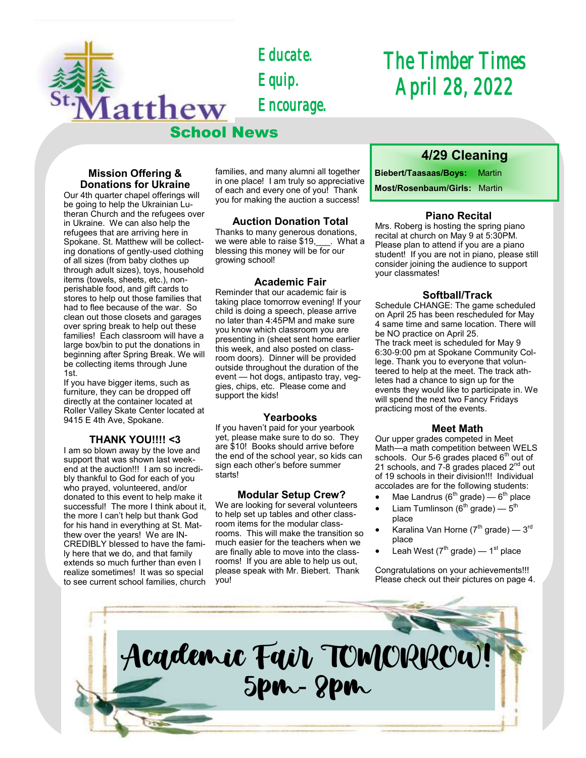*Educate. Equip. Encourage.* 

School News

# *The Timber Times April 28, 2022*

## **Mission Offering & Donations for Ukraine**

latthew

Our 4th quarter chapel offerings will be going to help the Ukrainian Lutheran Church and the refugees over in Ukraine. We can also help the refugees that are arriving here in Spokane. St. Matthew will be collecting donations of gently-used clothing of all sizes (from baby clothes up through adult sizes), toys, household items (towels, sheets, etc.), nonperishable food, and gift cards to stores to help out those families that had to flee because of the war. So clean out those closets and garages over spring break to help out these families! Each classroom will have a large box/bin to put the donations in beginning after Spring Break. We will be collecting items through June 1st.

If you have bigger items, such as furniture, they can be dropped off directly at the container located at Roller Valley Skate Center located at 9415 E 4th Ave, Spokane.

## **THANK YOU!!!! <3**

I am so blown away by the love and support that was shown last weekend at the auction!!! I am so incredibly thankful to God for each of you who prayed, volunteered, and/or donated to this event to help make it successful! The more I think about it, the more I can't help but thank God for his hand in everything at St. Matthew over the years! We are IN-CREDIBLY blessed to have the family here that we do, and that family extends so much further than even I realize sometimes! It was so special to see current school families, church

families, and many alumni all together in one place! I am truly so appreciative of each and every one of you! Thank you for making the auction a success!

## **Auction Donation Total**

Thanks to many generous donations, we were able to raise \$19, \_\_\_. What a blessing this money will be for our growing school!

#### **Academic Fair**

Reminder that our academic fair is taking place tomorrow evening! If your child is doing a speech, please arrive no later than 4:45PM and make sure you know which classroom you are presenting in (sheet sent home earlier this week, and also posted on classroom doors). Dinner will be provided outside throughout the duration of the event — hot dogs, antipasto tray, veggies, chips, etc. Please come and support the kids!

#### **Yearbooks**

If you haven't paid for your yearbook yet, please make sure to do so. They are \$10! Books should arrive before the end of the school year, so kids can sign each other's before summer starts!

#### **Modular Setup Crew?**

We are looking for several volunteers to help set up tables and other classroom items for the modular classrooms. This will make the transition so much easier for the teachers when we are finally able to move into the classrooms! If you are able to help us out, please speak with Mr. Biebert. Thank you!

## **4/29 Cleaning**

**Biebert/Taasaas/Boys:** Martin

**Most/Rosenbaum/Girls:** Martin

## **Piano Recital**

Mrs. Roberg is hosting the spring piano recital at church on May 9 at 5:30PM. Please plan to attend if you are a piano student! If you are not in piano, please still consider joining the audience to support your classmates!

## **Softball/Track**

Schedule CHANGE: The game scheduled on April 25 has been rescheduled for May 4 same time and same location. There will be NO practice on April 25. The track meet is scheduled for May 9 6:30-9:00 pm at Spokane Community College. Thank you to everyone that volunteered to help at the meet. The track athletes had a chance to sign up for the events they would like to participate in. We will spend the next two Fancy Fridays practicing most of the events.

## **Meet Math**

Our upper grades competed in Meet Math—a math competition between WELS schools. Our 5-6 grades placed  $6<sup>th</sup>$  out of 21 schools, and  $7-8$  grades placed  $2<sup>nd</sup>$  out of 19 schools in their division!!! Individual accolades are for the following students:

- $\bullet$  Mae Landrus (6 $^{\text{th}}$  grade) 6 $^{\text{th}}$  place
- Liam Tumlinson (6<sup>th</sup> grade)  $5<sup>th</sup>$ place
- $\bullet$  Karalina Van Horne (7 $^{\text{th}}$  grade) 3 $^{\text{rd}}$ place
- Leah West ( $7^{\text{th}}$  grade) 1<sup>st</sup> place

Congratulations on your achievements!!! Please check out their pictures on page 4.

Academic Fair TOMORROW! 5pm-8pm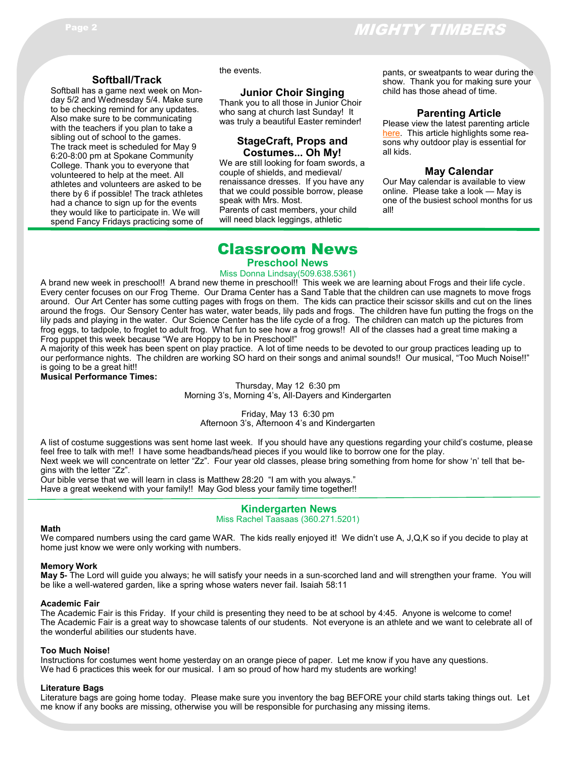### **Softball/Track**

Softball has a game next week on Monday 5/2 and Wednesday 5/4. Make sure to be checking remind for any updates. Also make sure to be communicating with the teachers if you plan to take a sibling out of school to the games. The track meet is scheduled for May 9 6:20-8:00 pm at Spokane Community College. Thank you to everyone that volunteered to help at the meet. All athletes and volunteers are asked to be there by 6 if possible! The track athletes had a chance to sign up for the events they would like to participate in. We will spend Fancy Fridays practicing some of the events.

#### **Junior Choir Singing**

Thank you to all those in Junior Choir who sang at church last Sunday! It was truly a beautiful Easter reminder!

## **StageCraft, Props and Costumes... Oh My!**

We are still looking for foam swords, a couple of shields, and medieval/ renaissance dresses. If you have any that we could possible borrow, please speak with Mrs. Most. Parents of cast members, your child will need black leggings, athletic

pants, or sweatpants to wear during the show. Thank you for making sure your child has those ahead of time.

#### **Parenting Article**

Please view the latest parenting article [here.](https://www.naeyc.org/resources/pubs/yc/may2019/outdoor-play-is-essential) This article highlights some reasons why outdoor play is essential for all kids.

#### **May Calendar**

Our May calendar is available to view online. Please take a look — May is one of the busiest school months for us all!

## Classroom News

## **Preschool News**

#### Miss Donna Lindsay(509.638.5361)

A brand new week in preschool!! A brand new theme in preschool!! This week we are learning about Frogs and their life cycle. Every center focuses on our Frog Theme. Our Drama Center has a Sand Table that the children can use magnets to move frogs around. Our Art Center has some cutting pages with frogs on them. The kids can practice their scissor skills and cut on the lines around the frogs. Our Sensory Center has water, water beads, lily pads and frogs. The children have fun putting the frogs on the lily pads and playing in the water. Our Science Center has the life cycle of a frog. The children can match up the pictures from frog eggs, to tadpole, to froglet to adult frog. What fun to see how a frog grows!! All of the classes had a great time making a Frog puppet this week because "We are Hoppy to be in Preschool!"

A majority of this week has been spent on play practice. A lot of time needs to be devoted to our group practices leading up to our performance nights. The children are working SO hard on their songs and animal sounds!! Our musical, "Too Much Noise!!" is going to be a great hit!!

### **Musical Performance Times:**

Thursday, May 12 6:30 pm Morning 3's, Morning 4's, All-Dayers and Kindergarten

Friday, May 13 6:30 pm Afternoon 3's, Afternoon 4's and Kindergarten

A list of costume suggestions was sent home last week. If you should have any questions regarding your child's costume, please feel free to talk with me!! I have some headbands/head pieces if you would like to borrow one for the play. Next week we will concentrate on letter "Zz". Four year old classes, please bring something from home for show 'n' tell that begins with the letter "Zz".

Our bible verse that we will learn in class is Matthew 28:20 "I am with you always."

Have a great weekend with your family!! May God bless your family time together!!

## **Kindergarten News**

Miss Rachel Taasaas (360.271.5201)

#### **Math**

We compared numbers using the card game WAR. The kids really enjoyed it! We didn't use A, J,Q,K so if you decide to play at home just know we were only working with numbers.

#### **Memory Work**

**May 5-** The Lord will guide you always; he will satisfy your needs in a sun-scorched land and will strengthen your frame. You will be like a well-watered garden, like a spring whose waters never fail. Isaiah 58:11

#### **Academic Fair**

The Academic Fair is this Friday. If your child is presenting they need to be at school by 4:45. Anyone is welcome to come! The Academic Fair is a great way to showcase talents of our students. Not everyone is an athlete and we want to celebrate all of the wonderful abilities our students have.

#### **Too Much Noise!**

Instructions for costumes went home yesterday on an orange piece of paper. Let me know if you have any questions. We had 6 practices this week for our musical. I am so proud of how hard my students are working!

#### **Literature Bags**

Literature bags are going home today. Please make sure you inventory the bag BEFORE your child starts taking things out. Let me know if any books are missing, otherwise you will be responsible for purchasing any missing items.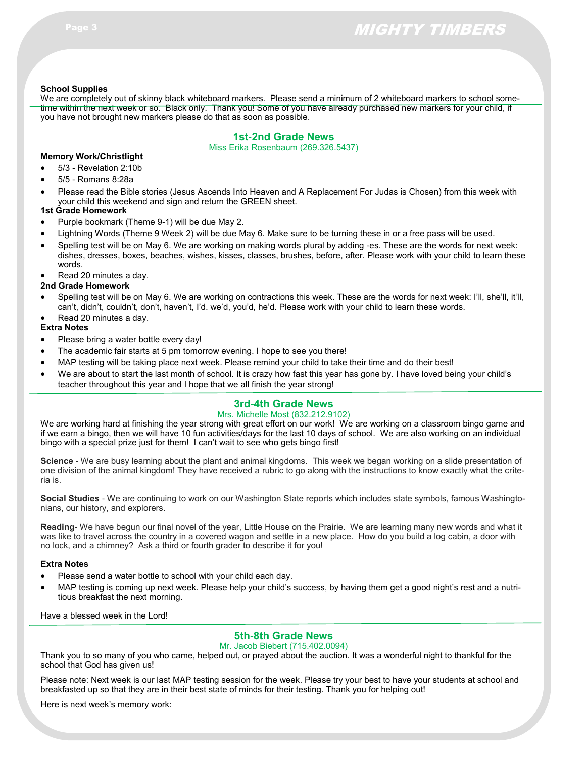## Page 3 MIGHTY TIMBERS

#### **School Supplies**

We are completely out of skinny black whiteboard markers. Please send a minimum of 2 whiteboard markers to school sometime within the next week or so. Black only. Thank you! Some of you have already purchased new markers for your child, if you have not brought new markers please do that as soon as possible.

## **1st-2nd Grade News**

Miss Erika Rosenbaum (269.326.5437)

### **Memory Work/Christlight**

- 5/3 Revelation 2:10b
- 5/5 Romans 8:28a
- Please read the Bible stories (Jesus Ascends Into Heaven and A Replacement For Judas is Chosen) from this week with your child this weekend and sign and return the GREEN sheet.

#### **1st Grade Homework**

- Purple bookmark (Theme 9-1) will be due May 2.
- Lightning Words (Theme 9 Week 2) will be due May 6. Make sure to be turning these in or a free pass will be used.
- Spelling test will be on May 6. We are working on making words plural by adding -es. These are the words for next week: dishes, dresses, boxes, beaches, wishes, kisses, classes, brushes, before, after. Please work with your child to learn these words.

Read 20 minutes a day.

#### **2nd Grade Homework**

 Spelling test will be on May 6. We are working on contractions this week. These are the words for next week: I'll, she'll, it'll, can't, didn't, couldn't, don't, haven't, I'd. we'd, you'd, he'd. Please work with your child to learn these words. Read 20 minutes a day.

## **Extra Notes**

- Please bring a water bottle every day!
- The academic fair starts at 5 pm tomorrow evening. I hope to see you there!
- MAP testing will be taking place next week. Please remind your child to take their time and do their best!
- We are about to start the last month of school. It is crazy how fast this year has gone by. I have loved being your child's teacher throughout this year and I hope that we all finish the year strong!

## **3rd-4th Grade News**

#### Mrs. Michelle Most (832.212.9102)

We are working hard at finishing the year strong with great effort on our work! We are working on a classroom bingo game and if we earn a bingo, then we will have 10 fun activities/days for the last 10 days of school. We are also working on an individual bingo with a special prize just for them! I can't wait to see who gets bingo first!

**Science -** We are busy learning about the plant and animal kingdoms. This week we began working on a slide presentation of one division of the animal kingdom! They have received a rubric to go along with the instructions to know exactly what the criteria is.

**Social Studies** - We are continuing to work on our Washington State reports which includes state symbols, famous Washingtonians, our history, and explorers.

**Reading-** We have begun our final novel of the year, Little House on the Prairie. We are learning many new words and what it was like to travel across the country in a covered wagon and settle in a new place. How do you build a log cabin, a door with no lock, and a chimney? Ask a third or fourth grader to describe it for you!

#### **Extra Notes**

- Please send a water bottle to school with your child each day.
- MAP testing is coming up next week. Please help your child's success, by having them get a good night's rest and a nutritious breakfast the next morning.

Have a blessed week in the Lord!

## **5th-8th Grade News**

#### Mr. Jacob Biebert (715.402.0094)

Thank you to so many of you who came, helped out, or prayed about the auction. It was a wonderful night to thankful for the school that God has given us!

Please note: Next week is our last MAP testing session for the week. Please try your best to have your students at school and breakfasted up so that they are in their best state of minds for their testing. Thank you for helping out!

Here is next week's memory work: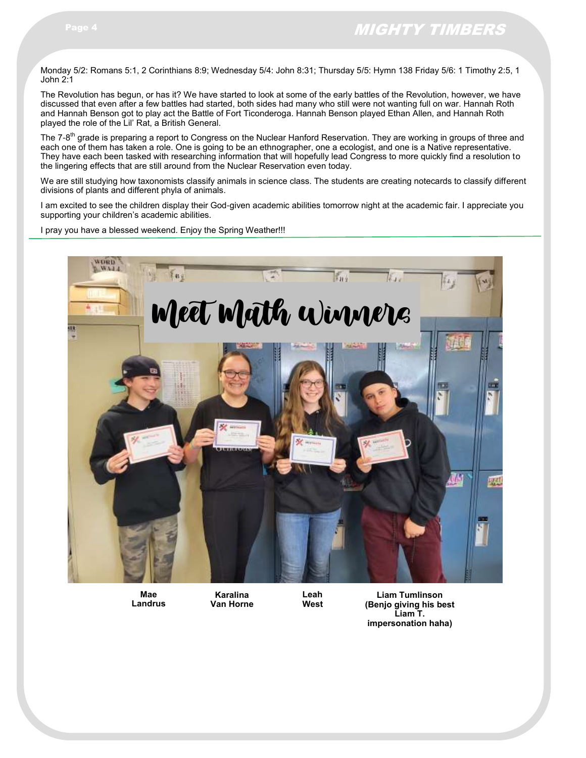Monday 5/2: Romans 5:1, 2 Corinthians 8:9; Wednesday 5/4: John 8:31; Thursday 5/5: Hymn 138 Friday 5/6: 1 Timothy 2:5, 1 John 2:1

The Revolution has begun, or has it? We have started to look at some of the early battles of the Revolution, however, we have discussed that even after a few battles had started, both sides had many who still were not wanting full on war. Hannah Roth and Hannah Benson got to play act the Battle of Fort Ticonderoga. Hannah Benson played Ethan Allen, and Hannah Roth played the role of the Lil' Rat, a British General.

The 7-8<sup>th</sup> grade is preparing a report to Congress on the Nuclear Hanford Reservation. They are working in groups of three and each one of them has taken a role. One is going to be an ethnographer, one a ecologist, and one is a Native representative. They have each been tasked with researching information that will hopefully lead Congress to more quickly find a resolution to the lingering effects that are still around from the Nuclear Reservation even today.

We are still studying how taxonomists classify animals in science class. The students are creating notecards to classify different divisions of plants and different phyla of animals.

I am excited to see the children display their God-given academic abilities tomorrow night at the academic fair. I appreciate you supporting your children's academic abilities.

I pray you have a blessed weekend. Enjoy the Spring Weather!!!



**Mae Landrus**

**Karalina Van Horne** **Leah West**

**Liam Tumlinson (Benjo giving his best Liam T. impersonation haha)**